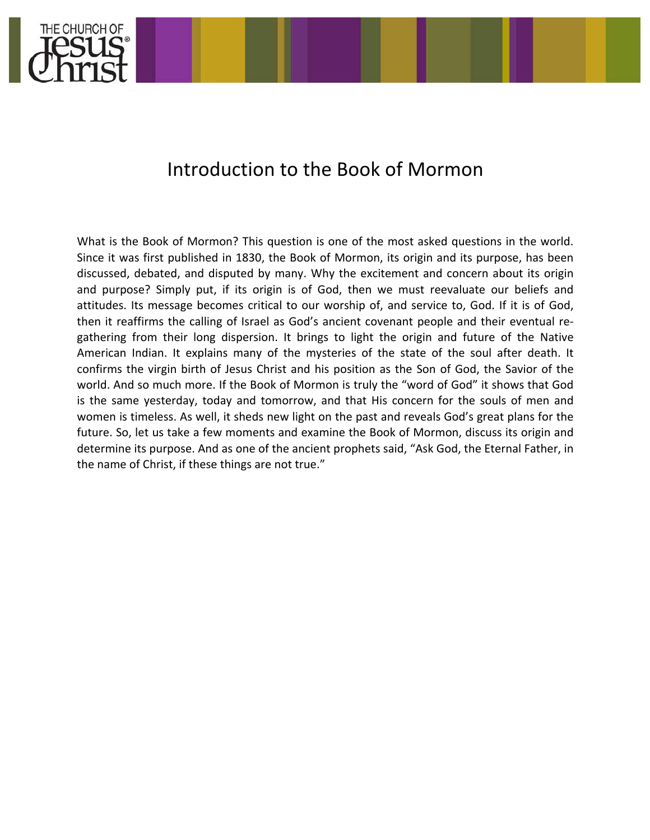

# Introduction to the Book of Mormon

What is the Book of Mormon? This question is one of the most asked questions in the world. Since it was first published in 1830, the Book of Mormon, its origin and its purpose, has been discussed, debated, and disputed by many. Why the excitement and concern about its origin and purpose? Simply put, if its origin is of God, then we must reevaluate our beliefs and attitudes. Its message becomes critical to our worship of, and service to, God. If it is of God, then it reaffirms the calling of Israel as God's ancient covenant people and their eventual regathering from their long dispersion. It brings to light the origin and future of the Native American Indian. It explains many of the mysteries of the state of the soul after death. It confirms the virgin birth of Jesus Christ and his position as the Son of God, the Savior of the world. And so much more. If the Book of Mormon is truly the "word of God" it shows that God is the same yesterday, today and tomorrow, and that His concern for the souls of men and women is timeless. As well, it sheds new light on the past and reveals God's great plans for the future. So, let us take a few moments and examine the Book of Mormon, discuss its origin and determine its purpose. And as one of the ancient prophets said, "Ask God, the Eternal Father, in the name of Christ, if these things are not true."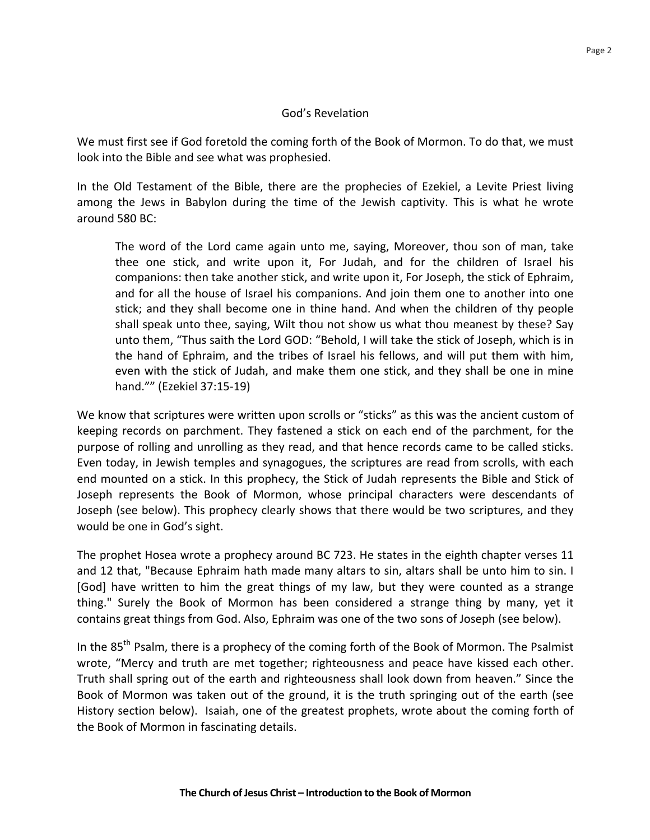## God's Revelation

We must first see if God foretold the coming forth of the Book of Mormon. To do that, we must look into the Bible and see what was prophesied.

In the Old Testament of the Bible, there are the prophecies of Ezekiel, a Levite Priest living among the Jews in Babylon during the time of the Jewish captivity. This is what he wrote around 580 BC:

The word of the Lord came again unto me, saying, Moreover, thou son of man, take thee one stick, and write upon it, For Judah, and for the children of Israel his companions: then take another stick, and write upon it, For Joseph, the stick of Ephraim, and for all the house of Israel his companions. And join them one to another into one stick; and they shall become one in thine hand. And when the children of thy people shall speak unto thee, saying, Wilt thou not show us what thou meanest by these? Say unto them, "Thus saith the Lord GOD: "Behold, I will take the stick of Joseph, which is in the hand of Ephraim, and the tribes of Israel his fellows, and will put them with him, even with the stick of Judah, and make them one stick, and they shall be one in mine hand."" (Ezekiel 37:15-19)

We know that scriptures were written upon scrolls or "sticks" as this was the ancient custom of keeping records on parchment. They fastened a stick on each end of the parchment, for the purpose of rolling and unrolling as they read, and that hence records came to be called sticks. Even today, in Jewish temples and synagogues, the scriptures are read from scrolls, with each end mounted on a stick. In this prophecy, the Stick of Judah represents the Bible and Stick of Joseph represents the Book of Mormon, whose principal characters were descendants of Joseph (see below). This prophecy clearly shows that there would be two scriptures, and they would be one in God's sight.

The prophet Hosea wrote a prophecy around BC 723. He states in the eighth chapter verses 11 and 12 that, "Because Ephraim hath made many altars to sin, altars shall be unto him to sin. I [God] have written to him the great things of my law, but they were counted as a strange thing." Surely the Book of Mormon has been considered a strange thing by many, yet it contains great things from God. Also, Ephraim was one of the two sons of Joseph (see below).

In the 85<sup>th</sup> Psalm, there is a prophecy of the coming forth of the Book of Mormon. The Psalmist wrote, "Mercy and truth are met together; righteousness and peace have kissed each other. Truth shall spring out of the earth and righteousness shall look down from heaven." Since the Book of Mormon was taken out of the ground, it is the truth springing out of the earth (see History section below). Isaiah, one of the greatest prophets, wrote about the coming forth of the Book of Mormon in fascinating details.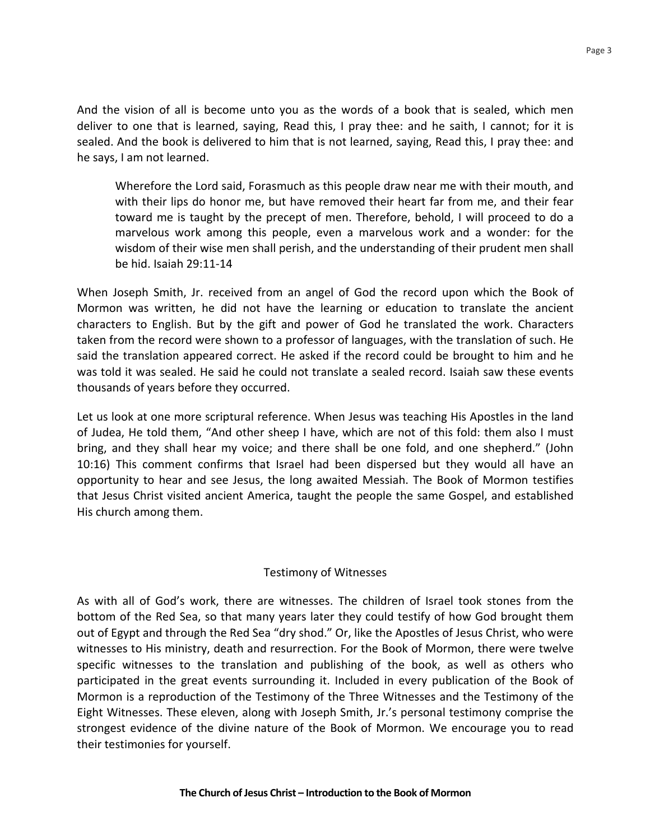And the vision of all is become unto you as the words of a book that is sealed, which men deliver to one that is learned, saying, Read this, I pray thee: and he saith, I cannot; for it is sealed. And the book is delivered to him that is not learned, saying, Read this, I pray thee: and he says, I am not learned.

Wherefore the Lord said, Forasmuch as this people draw near me with their mouth, and with their lips do honor me, but have removed their heart far from me, and their fear toward me is taught by the precept of men. Therefore, behold, I will proceed to do a marvelous work among this people, even a marvelous work and a wonder: for the wisdom of their wise men shall perish, and the understanding of their prudent men shall be hid. Isaiah 29:11-14 

When Joseph Smith, Jr. received from an angel of God the record upon which the Book of Mormon was written, he did not have the learning or education to translate the ancient characters to English. But by the gift and power of God he translated the work. Characters taken from the record were shown to a professor of languages, with the translation of such. He said the translation appeared correct. He asked if the record could be brought to him and he was told it was sealed. He said he could not translate a sealed record. Isaiah saw these events thousands of years before they occurred. 

Let us look at one more scriptural reference. When Jesus was teaching His Apostles in the land of Judea, He told them, "And other sheep I have, which are not of this fold: them also I must bring, and they shall hear my voice; and there shall be one fold, and one shepherd." (John 10:16) This comment confirms that Israel had been dispersed but they would all have an opportunity to hear and see Jesus, the long awaited Messiah. The Book of Mormon testifies that Jesus Christ visited ancient America, taught the people the same Gospel, and established His church among them.

## Testimony of Witnesses

As with all of God's work, there are witnesses. The children of Israel took stones from the bottom of the Red Sea, so that many years later they could testify of how God brought them out of Egypt and through the Red Sea "dry shod." Or, like the Apostles of Jesus Christ, who were witnesses to His ministry, death and resurrection. For the Book of Mormon, there were twelve specific witnesses to the translation and publishing of the book, as well as others who participated in the great events surrounding it. Included in every publication of the Book of Mormon is a reproduction of the Testimony of the Three Witnesses and the Testimony of the Eight Witnesses. These eleven, along with Joseph Smith, Jr.'s personal testimony comprise the strongest evidence of the divine nature of the Book of Mormon. We encourage you to read their testimonies for yourself.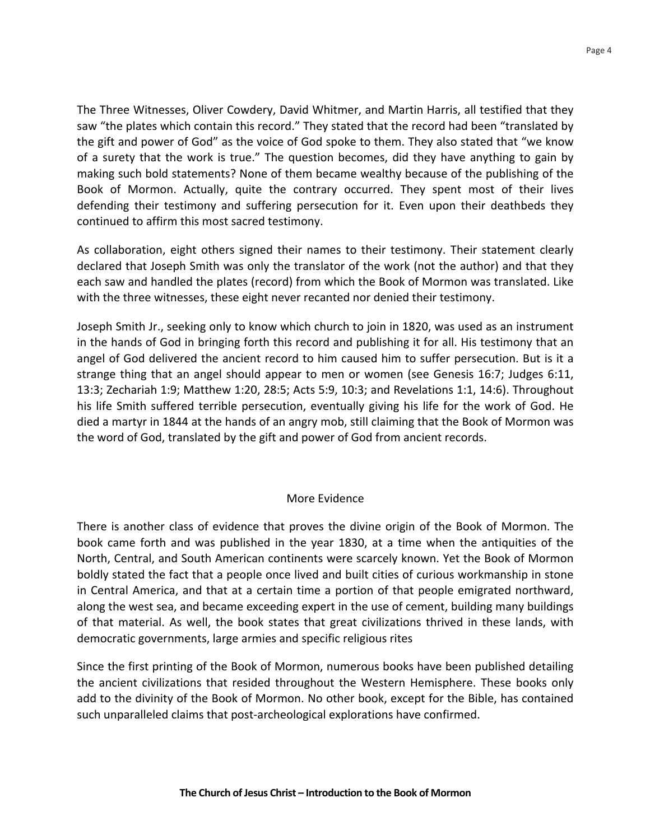The Three Witnesses, Oliver Cowdery, David Whitmer, and Martin Harris, all testified that they saw "the plates which contain this record." They stated that the record had been "translated by the gift and power of God" as the voice of God spoke to them. They also stated that "we know of a surety that the work is true." The question becomes, did they have anything to gain by making such bold statements? None of them became wealthy because of the publishing of the Book of Mormon. Actually, quite the contrary occurred. They spent most of their lives defending their testimony and suffering persecution for it. Even upon their deathbeds they continued to affirm this most sacred testimony.

As collaboration, eight others signed their names to their testimony. Their statement clearly declared that Joseph Smith was only the translator of the work (not the author) and that they each saw and handled the plates (record) from which the Book of Mormon was translated. Like with the three witnesses, these eight never recanted nor denied their testimony.

Joseph Smith Jr., seeking only to know which church to join in 1820, was used as an instrument in the hands of God in bringing forth this record and publishing it for all. His testimony that an angel of God delivered the ancient record to him caused him to suffer persecution. But is it a strange thing that an angel should appear to men or women (see Genesis 16:7; Judges  $6:11$ , 13:3; Zechariah 1:9; Matthew 1:20, 28:5; Acts 5:9, 10:3; and Revelations 1:1, 14:6). Throughout his life Smith suffered terrible persecution, eventually giving his life for the work of God. He died a martyr in 1844 at the hands of an angry mob, still claiming that the Book of Mormon was the word of God, translated by the gift and power of God from ancient records.

### More Evidence

There is another class of evidence that proves the divine origin of the Book of Mormon. The book came forth and was published in the year 1830, at a time when the antiquities of the North, Central, and South American continents were scarcely known. Yet the Book of Mormon boldly stated the fact that a people once lived and built cities of curious workmanship in stone in Central America, and that at a certain time a portion of that people emigrated northward, along the west sea, and became exceeding expert in the use of cement, building many buildings of that material. As well, the book states that great civilizations thrived in these lands, with democratic governments, large armies and specific religious rites

Since the first printing of the Book of Mormon, numerous books have been published detailing the ancient civilizations that resided throughout the Western Hemisphere. These books only add to the divinity of the Book of Mormon. No other book, except for the Bible, has contained such unparalleled claims that post-archeological explorations have confirmed.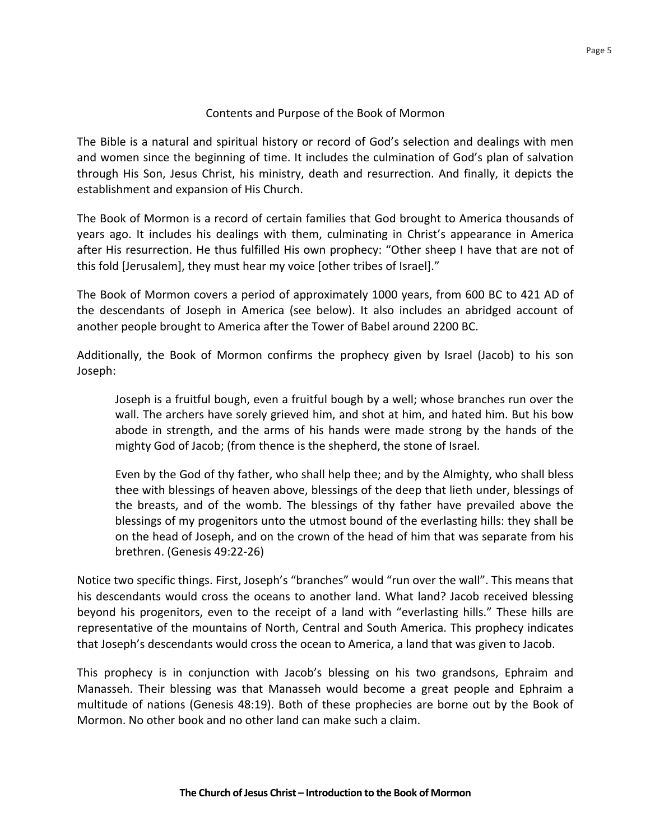## Contents and Purpose of the Book of Mormon

The Bible is a natural and spiritual history or record of God's selection and dealings with men and women since the beginning of time. It includes the culmination of God's plan of salvation through His Son, Jesus Christ, his ministry, death and resurrection. And finally, it depicts the establishment and expansion of His Church.

The Book of Mormon is a record of certain families that God brought to America thousands of years ago. It includes his dealings with them, culminating in Christ's appearance in America after His resurrection. He thus fulfilled His own prophecy: "Other sheep I have that are not of this fold [Jerusalem], they must hear my voice [other tribes of Israel]."

The Book of Mormon covers a period of approximately 1000 years, from 600 BC to 421 AD of the descendants of Joseph in America (see below). It also includes an abridged account of another people brought to America after the Tower of Babel around 2200 BC.

Additionally, the Book of Mormon confirms the prophecy given by Israel (Jacob) to his son Joseph: 

Joseph is a fruitful bough, even a fruitful bough by a well; whose branches run over the wall. The archers have sorely grieved him, and shot at him, and hated him. But his bow abode in strength, and the arms of his hands were made strong by the hands of the mighty God of Jacob; (from thence is the shepherd, the stone of Israel.

Even by the God of thy father, who shall help thee; and by the Almighty, who shall bless thee with blessings of heaven above, blessings of the deep that lieth under, blessings of the breasts, and of the womb. The blessings of thy father have prevailed above the blessings of my progenitors unto the utmost bound of the everlasting hills: they shall be on the head of Joseph, and on the crown of the head of him that was separate from his brethren. (Genesis 49:22-26)

Notice two specific things. First, Joseph's "branches" would "run over the wall". This means that his descendants would cross the oceans to another land. What land? Jacob received blessing beyond his progenitors, even to the receipt of a land with "everlasting hills." These hills are representative of the mountains of North, Central and South America. This prophecy indicates that Joseph's descendants would cross the ocean to America, a land that was given to Jacob.

This prophecy is in conjunction with Jacob's blessing on his two grandsons, Ephraim and Manasseh. Their blessing was that Manasseh would become a great people and Ephraim a multitude of nations (Genesis 48:19). Both of these prophecies are borne out by the Book of Mormon. No other book and no other land can make such a claim.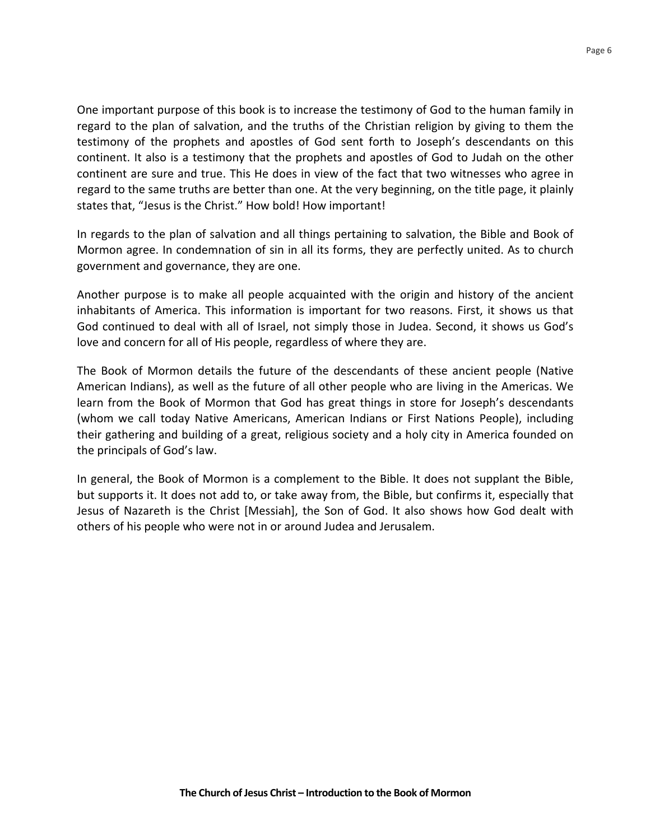One important purpose of this book is to increase the testimony of God to the human family in regard to the plan of salvation, and the truths of the Christian religion by giving to them the testimony of the prophets and apostles of God sent forth to Joseph's descendants on this continent. It also is a testimony that the prophets and apostles of God to Judah on the other continent are sure and true. This He does in view of the fact that two witnesses who agree in regard to the same truths are better than one. At the very beginning, on the title page, it plainly states that, "Jesus is the Christ." How bold! How important!

In regards to the plan of salvation and all things pertaining to salvation, the Bible and Book of Mormon agree. In condemnation of sin in all its forms, they are perfectly united. As to church government and governance, they are one.

Another purpose is to make all people acquainted with the origin and history of the ancient inhabitants of America. This information is important for two reasons. First, it shows us that God continued to deal with all of Israel, not simply those in Judea. Second, it shows us God's love and concern for all of His people, regardless of where they are.

The Book of Mormon details the future of the descendants of these ancient people (Native American Indians), as well as the future of all other people who are living in the Americas. We learn from the Book of Mormon that God has great things in store for Joseph's descendants (whom we call today Native Americans, American Indians or First Nations People), including their gathering and building of a great, religious society and a holy city in America founded on the principals of God's law.

In general, the Book of Mormon is a complement to the Bible. It does not supplant the Bible. but supports it. It does not add to, or take away from, the Bible, but confirms it, especially that Jesus of Nazareth is the Christ [Messiah], the Son of God. It also shows how God dealt with others of his people who were not in or around Judea and Jerusalem.